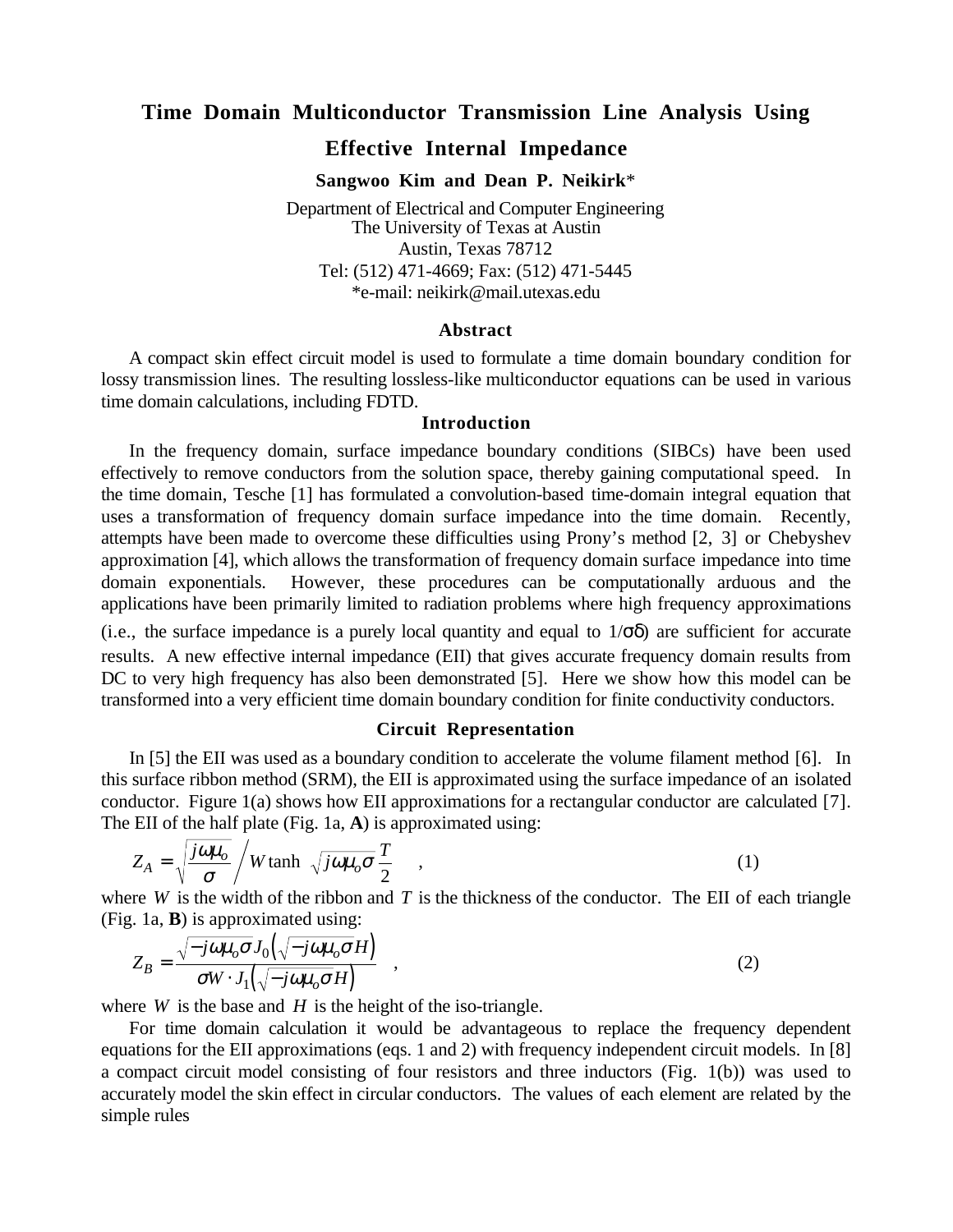## **Time Domain Multiconductor Transmission Line Analysis Using**

# **Effective Internal Impedance**

**Sangwoo Kim and Dean P. Neikirk**\*

Department of Electrical and Computer Engineering The University of Texas at Austin Austin, Texas 78712 Tel: (512) 471-4669; Fax: (512) 471-5445 \*e-mail: neikirk@mail.utexas.edu

#### **Abstract**

A compact skin effect circuit model is used to formulate a time domain boundary condition for lossy transmission lines. The resulting lossless-like multiconductor equations can be used in various time domain calculations, including FDTD.

### **Introduction**

In the frequency domain, surface impedance boundary conditions (SIBCs) have been used effectively to remove conductors from the solution space, thereby gaining computational speed. In the time domain, Tesche [1] has formulated a convolution-based time-domain integral equation that uses a transformation of frequency domain surface impedance into the time domain. Recently, attempts have been made to overcome these difficulties using Prony's method [2, 3] or Chebyshev approximation [4], which allows the transformation of frequency domain surface impedance into time domain exponentials. However, these procedures can be computationally arduous and the applications have been primarily limited to radiation problems where high frequency approximations

(i.e., the surface impedance is a purely local quantity and equal to  $1/\sigma\delta$ ) are sufficient for accurate results. A new effective internal impedance (EII) that gives accurate frequency domain results from DC to very high frequency has also been demonstrated [5]. Here we show how this model can be transformed into a very efficient time domain boundary condition for finite conductivity conductors.

### **Circuit Representation**

In [5] the EII was used as a boundary condition to accelerate the volume filament method [6]. In this surface ribbon method (SRM), the EII is approximated using the surface impedance of an isolated conductor. Figure 1(a) shows how EII approximations for a rectangular conductor are calculated [7]. The EII of the half plate (Fig. 1a, **A**) is approximated using:

$$
Z_A = \sqrt{\frac{j\omega\mu_o}{\sigma}} / W \tanh\left(\sqrt{j\omega\mu_o \sigma} \frac{T}{2}\right) \tag{1}
$$

where  $W$  is the width of the ribbon and  $T$  is the thickness of the conductor. The EII of each triangle (Fig. 1a, **B**) is approximated using:

$$
Z_B = \frac{\sqrt{-j\omega\mu_o \sigma J_0(\sqrt{-j\omega\mu_o \sigma H})}}{\sigma W \cdot J_1(\sqrt{-j\omega\mu_o \sigma H})} , \qquad (2)
$$

where  $W$  is the base and  $H$  is the height of the iso-triangle.

For time domain calculation it would be advantageous to replace the frequency dependent equations for the EII approximations (eqs. 1 and 2) with frequency independent circuit models. In [8] a compact circuit model consisting of four resistors and three inductors (Fig. 1(b)) was used to accurately model the skin effect in circular conductors. The values of each element are related by the simple rules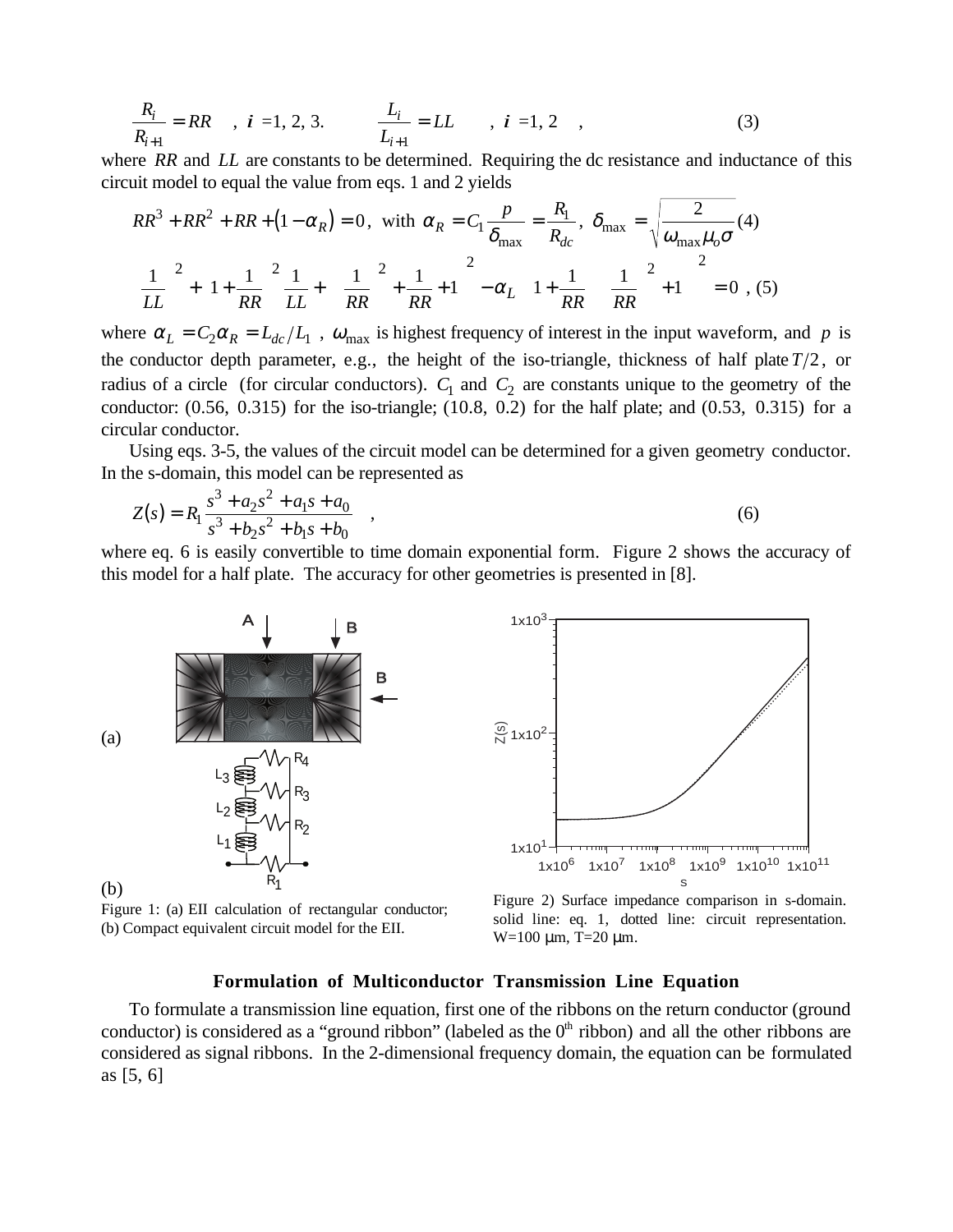$$
\frac{R_i}{R_{i+1}} = RR \t , i = 1, 2, 3. \t \frac{L_i}{L_{i+1}} = LL \t , i = 1, 2 \t , \t (3)
$$

where *RR* and *LL* are constants to be determined. Requiring the dc resistance and inductance of this circuit model to equal the value from eqs. 1 and 2 yields

$$
RR^{3} + RR^{2} + RR + (1 - \alpha_{R}) = 0, \text{ with } \alpha_{R} = C_{1} \frac{p}{\delta_{\text{max}}} = \frac{R_{1}}{R_{dc}}, \delta_{\text{max}} = \sqrt{\frac{2}{\omega_{\text{max}} \mu_{o} \sigma}} (4)
$$

$$
\left(\frac{1}{LL}\right)^{2} + \left(1 + \frac{1}{RR}\right)^{2} \frac{1}{LL} + \left(\left[\frac{1}{RR}\right]^{2} + \frac{1}{RR} + 1\right)^{2} - \alpha_{L} \left(\left[1 + \frac{1}{RR}\right] \left\{\frac{1}{RR}\right\}^{2} + 1\right)\right)^{2} = 0, (5)
$$

where  $\alpha_L = C_2 \alpha_R = L_{dc}/L_1$ ,  $\omega_{\text{max}}$  is highest frequency of interest in the input waveform, and *p* is the conductor depth parameter, e.g., the height of the iso-triangle, thickness of half plate  $T/2$ , or radius of a circle (for circular conductors).  $C_1$  and  $C_2$  are constants unique to the geometry of the conductor: (0.56, 0.315) for the iso-triangle; (10.8, 0.2) for the half plate; and (0.53, 0.315) for a circular conductor.

Using eqs. 3-5, the values of the circuit model can be determined for a given geometry conductor. In the s-domain, this model can be represented as

$$
Z(s) = R_1 \frac{s^3 + a_2 s^2 + a_1 s + a_0}{s^3 + b_2 s^2 + b_1 s + b_0} \quad ,
$$
\n
$$
(6)
$$

where eq. 6 is easily convertible to time domain exponential form. Figure 2 shows the accuracy of this model for a half plate. The accuracy for other geometries is presented in [8].



Figure 1: (a) EII calculation of rectangular conductor; (b) Compact equivalent circuit model for the EII.



Figure 2) Surface impedance comparison in s-domain. solid line: eq. 1, dotted line: circuit representation. W=100 µm, T=20 µm.

### **Formulation of Multiconductor Transmission Line Equation**

To formulate a transmission line equation, first one of the ribbons on the return conductor (ground conductor) is considered as a "ground ribbon" (labeled as the  $0<sup>th</sup>$  ribbon) and all the other ribbons are considered as signal ribbons. In the 2-dimensional frequency domain, the equation can be formulated as [5, 6]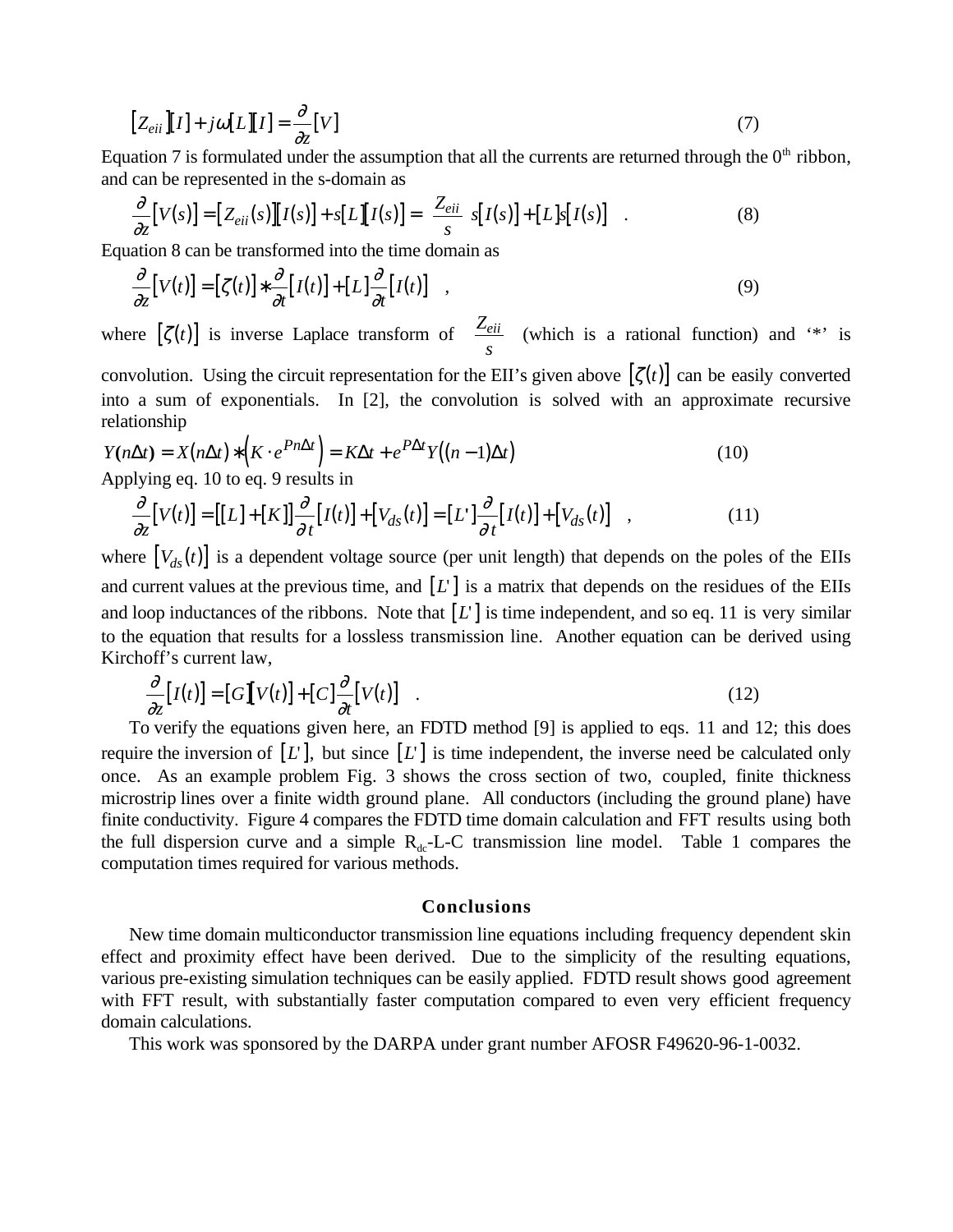$$
[Z_{eii}][I] + j\omega[L][I] = \frac{\partial}{\partial z}[V]
$$
\n(7)

Equation 7 is formulated under the assumption that all the currents are returned through the  $0<sup>th</sup>$  ribbon, and can be represented in the s-domain as

$$
\frac{\partial}{\partial z}[V(s)] = [Z_{eii}(s)][I(s)] + s[L][I(s)] = \left[\frac{Z_{eii}}{s}\right]s[I(s)] + [L]s[I(s)] \quad . \tag{8}
$$

Equation 8 can be transformed into the time domain as

$$
\frac{\partial}{\partial z}[V(t)] = [\zeta(t)] * \frac{\partial}{\partial t}[I(t)] + [L] \frac{\partial}{\partial t}[I(t)] \quad , \tag{9}
$$

where  $[\zeta(t)]$  is inverse Laplace transform of  $\begin{bmatrix} Z \end{bmatrix}$ *s*  $Z_{eii}$  $\left[\frac{Z_{eii}}{s}\right]$  (which is a rational function) and '\*' is

convolution. Using the circuit representation for the EII's given above  $[\zeta(t)]$  can be easily converted into a sum of exponentials. In [2], the convolution is solved with an approximate recursive relationship

$$
Y(n\Delta t) = X(n\Delta t) * (K \cdot e^{Pn\Delta t}) = K\Delta t + e^{P\Delta t} Y((n-1)\Delta t)
$$
  
Applying eq. 10 to eq. 9 results in

$$
\frac{\partial}{\partial z}[V(t)] = [[L] + [K]] \frac{\partial}{\partial t}[I(t)] + [V_{ds}(t)] = [L'] \frac{\partial}{\partial t}[I(t)] + [V_{ds}(t)] \quad , \tag{11}
$$

where  $[V_{ds}(t)]$  is a dependent voltage source (per unit length) that depends on the poles of the EIIs and current values at the previous time, and  $[L]$  is a matrix that depends on the residues of the EIIs and loop inductances of the ribbons. Note that  $[L]$  is time independent, and so eq. 11 is very similar to the equation that results for a lossless transmission line. Another equation can be derived using Kirchoff's current law,

$$
\frac{\partial}{\partial z}[I(t)] = [G][V(t)] + [C]\frac{\partial}{\partial t}[V(t)] \quad . \tag{12}
$$

To verify the equations given here, an FDTD method [9] is applied to eqs. 11 and 12; this does require the inversion of  $[L]$ , but since  $[L]$  is time independent, the inverse need be calculated only once. As an example problem Fig. 3 shows the cross section of two, coupled, finite thickness microstrip lines over a finite width ground plane. All conductors (including the ground plane) have finite conductivity. Figure 4 compares the FDTD time domain calculation and FFT results using both the full dispersion curve and a simple  $R_{dc}$ -L-C transmission line model. Table 1 compares the computation times required for various methods.

#### **Conclusions**

New time domain multiconductor transmission line equations including frequency dependent skin effect and proximity effect have been derived. Due to the simplicity of the resulting equations, various pre-existing simulation techniques can be easily applied. FDTD result shows good agreement with FFT result, with substantially faster computation compared to even very efficient frequency domain calculations.

This work was sponsored by the DARPA under grant number AFOSR F49620-96-1-0032.